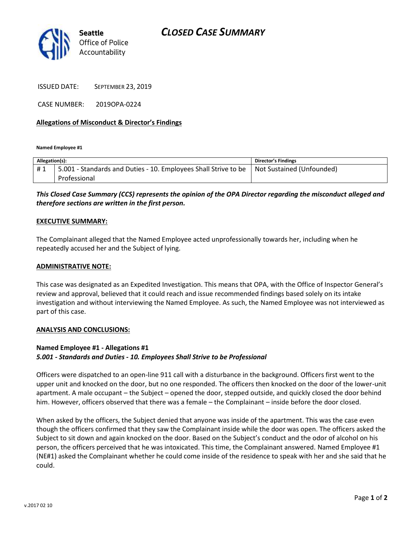



ISSUED DATE: SEPTEMBER 23, 2019

CASE NUMBER: 2019OPA-0224

### **Allegations of Misconduct & Director's Findings**

**Named Employee #1**

| Allegation(s): |                                                                                             | <b>Director's Findings</b> |
|----------------|---------------------------------------------------------------------------------------------|----------------------------|
| #1             | 5.001 - Standards and Duties - 10. Employees Shall Strive to be   Not Sustained (Unfounded) |                            |
|                | Professional                                                                                |                            |

## *This Closed Case Summary (CCS) represents the opinion of the OPA Director regarding the misconduct alleged and therefore sections are written in the first person.*

#### **EXECUTIVE SUMMARY:**

The Complainant alleged that the Named Employee acted unprofessionally towards her, including when he repeatedly accused her and the Subject of lying.

#### **ADMINISTRATIVE NOTE:**

This case was designated as an Expedited Investigation. This means that OPA, with the Office of Inspector General's review and approval, believed that it could reach and issue recommended findings based solely on its intake investigation and without interviewing the Named Employee. As such, the Named Employee was not interviewed as part of this case.

#### **ANALYSIS AND CONCLUSIONS:**

## **Named Employee #1 - Allegations #1** *5.001 - Standards and Duties - 10. Employees Shall Strive to be Professional*

Officers were dispatched to an open-line 911 call with a disturbance in the background. Officers first went to the upper unit and knocked on the door, but no one responded. The officers then knocked on the door of the lower-unit apartment. A male occupant – the Subject – opened the door, stepped outside, and quickly closed the door behind him. However, officers observed that there was a female – the Complainant – inside before the door closed.

When asked by the officers, the Subject denied that anyone was inside of the apartment. This was the case even though the officers confirmed that they saw the Complainant inside while the door was open. The officers asked the Subject to sit down and again knocked on the door. Based on the Subject's conduct and the odor of alcohol on his person, the officers perceived that he was intoxicated. This time, the Complainant answered. Named Employee #1 (NE#1) asked the Complainant whether he could come inside of the residence to speak with her and she said that he could.